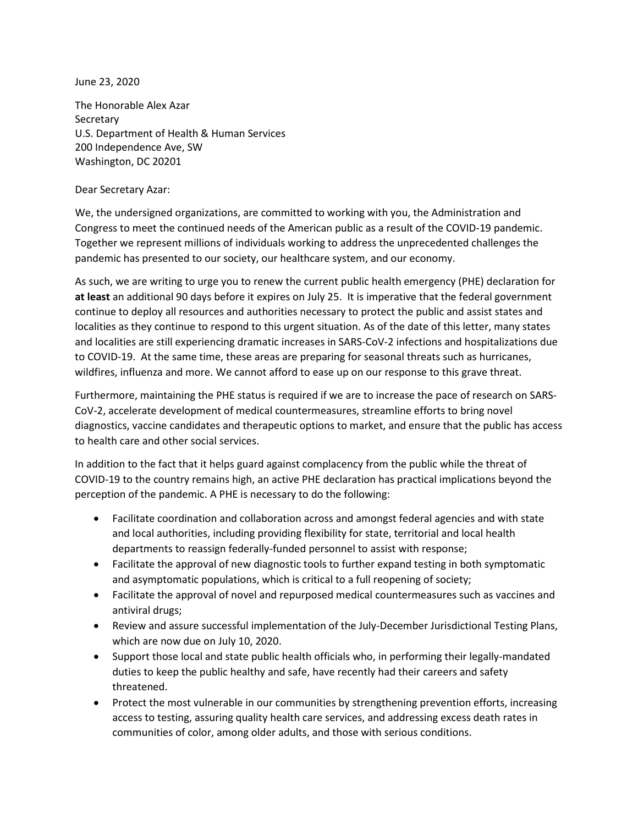June 23, 2020

The Honorable Alex Azar **Secretary** U.S. Department of Health & Human Services 200 Independence Ave, SW Washington, DC 20201

Dear Secretary Azar:

We, the undersigned organizations, are committed to working with you, the Administration and Congress to meet the continued needs of the American public as a result of the COVID-19 pandemic. Together we represent millions of individuals working to address the unprecedented challenges the pandemic has presented to our society, our healthcare system, and our economy.

As such, we are writing to urge you to renew the current public health emergency (PHE) declaration for **at least** an additional 90 days before it expires on July 25. It is imperative that the federal government continue to deploy all resources and authorities necessary to protect the public and assist states and localities as they continue to respond to this urgent situation. As of the date of this letter, many states and localities are still experiencing dramatic increases in SARS-CoV-2 infections and hospitalizations due to COVID-19. At the same time, these areas are preparing for seasonal threats such as hurricanes, wildfires, influenza and more. We cannot afford to ease up on our response to this grave threat.

Furthermore, maintaining the PHE status is required if we are to increase the pace of research on SARS-CoV-2, accelerate development of medical countermeasures, streamline efforts to bring novel diagnostics, vaccine candidates and therapeutic options to market, and ensure that the public has access to health care and other social services.

In addition to the fact that it helps guard against complacency from the public while the threat of COVID-19 to the country remains high, an active PHE declaration has practical implications beyond the perception of the pandemic. A PHE is necessary to do the following:

- Facilitate coordination and collaboration across and amongst federal agencies and with state and local authorities, including providing flexibility for state, territorial and local health departments to reassign federally-funded personnel to assist with response;
- Facilitate the approval of new diagnostic tools to further expand testing in both symptomatic and asymptomatic populations, which is critical to a full reopening of society;
- Facilitate the approval of novel and repurposed medical countermeasures such as vaccines and antiviral drugs;
- Review and assure successful implementation of the July-December Jurisdictional Testing Plans, which are now due on July 10, 2020.
- Support those local and state public health officials who, in performing their legally-mandated duties to keep the public healthy and safe, have recently had their careers and safety threatened.
- Protect the most vulnerable in our communities by strengthening prevention efforts, increasing access to testing, assuring quality health care services, and addressing excess death rates in communities of color, among older adults, and those with serious conditions.